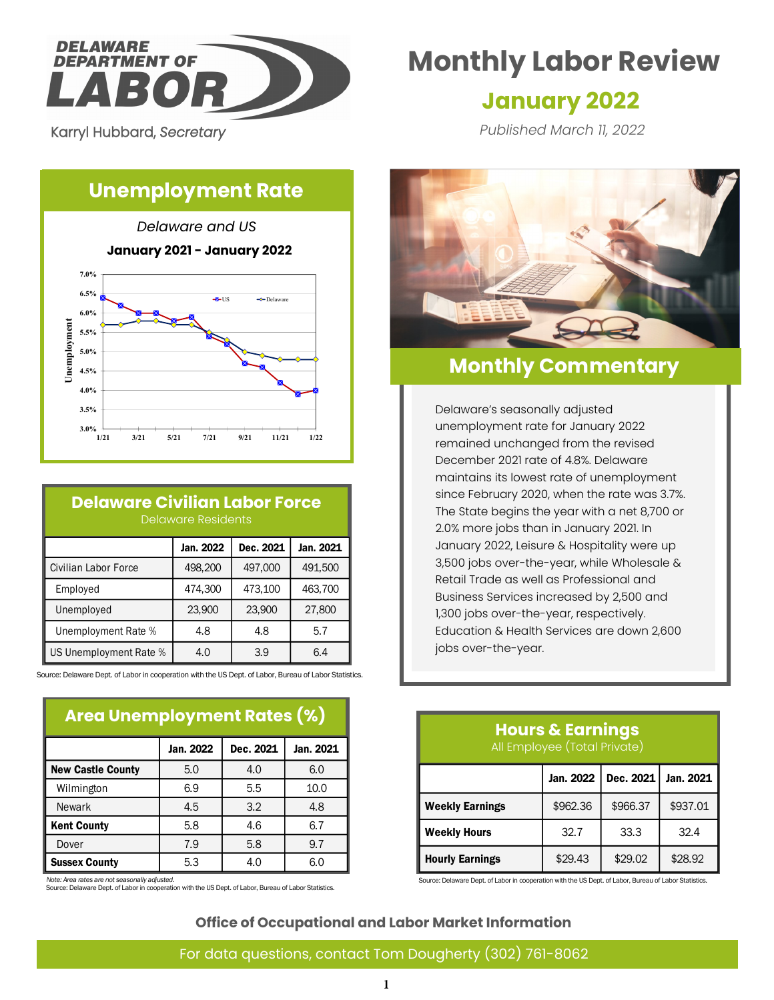

Karryl Hubbard, *Secretary* 

**6.5% 7.0%**

# **Monthly Labor Review**

# **January 2022**

*Published March 11, 2022*

# **Unemployment Rate**

*Delaware and US* **January 2021 - January 2022**  $\triangle$  IS  $\triangle$  Delaware



### **Delaware Civilian Labor Force** Delaware Residents

|                        | Jan. 2022 | Dec. 2021 | Jan. 2021 |  |
|------------------------|-----------|-----------|-----------|--|
| Civilian Labor Force   | 498,200   | 497,000   | 491,500   |  |
| Employed               | 474,300   | 473,100   | 463,700   |  |
| Unemployed             | 23,900    | 23,900    | 27,800    |  |
| Unemployment Rate %    | 4.8       | 4.8       | 5.7       |  |
| US Unemployment Rate % | 4.0       | 3.9       | 6.4       |  |

Source: Delaware Dept. of Labor in cooperation with the US Dept. of Labor, Bureau of Labor Statistics.

## **Area Unemployment Rates (%)**

|                          | Jan. 2022 | Dec. 2021 | Jan. 2021 |
|--------------------------|-----------|-----------|-----------|
| <b>New Castle County</b> | 5.0       | 4.0       | 6.0       |
| Wilmington               | 6.9       | 5.5       | 10.0      |
| <b>Newark</b>            | 4.5       | 3.2       | 4.8       |
| <b>Kent County</b>       | 5.8       | 4.6       | 6.7       |
| Dover                    | 7.9       | 5.8       | 9.7       |
| <b>Sussex County</b>     | 5.3       | 4.0       | 6.0       |

*Note: Area rates are not seasonally adjusted.*

Source: Delaware Dept. of Labor in cooperation with the US Dept. of Labor, Bureau of Labor Statistics.



# **Monthly Commentary**

Delaware's seasonally adjusted unemployment rate for January 2022 remained unchanged from the revised December 2021 rate of 4.8%. Delaware maintains its lowest rate of unemployment since February 2020, when the rate was 3.7%. The State begins the year with a net 8,700 or 2.0% more jobs than in January 2021. In January 2022, Leisure & Hospitality were up 3,500 jobs over-the-year, while Wholesale & Retail Trade as well as Professional and Business Services increased by 2,500 and 1,300 jobs over-the-year, respectively. Education & Health Services are down 2,600 jobs over-the-year.

# **Hours & Earnings** All Employee (Total Private)

|                        | Dec. 2021<br>Jan. 2022 |          | Jan. 2021 |
|------------------------|------------------------|----------|-----------|
| <b>Weekly Earnings</b> | \$962.36               | \$966.37 | \$937.01  |
| <b>Weekly Hours</b>    | 32.7                   | 33.3     | 32.4      |
| <b>Hourly Earnings</b> | \$29.43                | \$29.02  | \$28.92   |

Source: Delaware Dept. of Labor in cooperation with the US Dept. of Labor, Bureau of Labor Statistics.

**Office of Occupational and Labor Market Information**

#### For data questions, contact Tom Dougherty (302) 761-8062